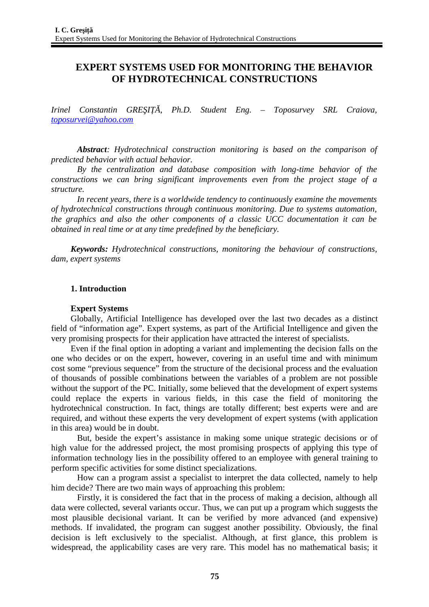# **EXPERT SYSTEMS USED FOR MONITORING THE BEHAVIOR OF HYDROTECHNICAL CONSTRUCTIONS**

*Irinel Constantin GREŞIŢĂ, Ph.D. Student Eng. – Toposurvey SRL Craiova, [toposurvei@yahoo.com](mailto:toposurvei@yahoo.com)*

*Abstract: Hydrotechnical construction monitoring is based on the comparison of predicted behavior with actual behavior.*

*By the centralization and database composition with long-time behavior of the constructions we can bring significant improvements even from the project stage of a structure.* 

*In recent years, there is a worldwide tendency to continuously examine the movements of hydrotechnical constructions through continuous monitoring. Due to systems automation, the graphics and also the other components of a classic UCC documentation it can be obtained in real time or at any time predefined by the beneficiary.*

*Keywords: Hydrotechnical constructions, monitoring the behaviour of constructions, dam, expert systems*

### **1. Introduction**

#### **Expert Systems**

Globally, Artificial Intelligence has developed over the last two decades as a distinct field of "information age". Expert systems, as part of the Artificial Intelligence and given the very promising prospects for their application have attracted the interest of specialists.

Even if the final option in adopting a variant and implementing the decision falls on the one who decides or on the expert, however, covering in an useful time and with minimum cost some "previous sequence" from the structure of the decisional process and the evaluation of thousands of possible combinations between the variables of a problem are not possible without the support of the PC. Initially, some believed that the development of expert systems could replace the experts in various fields, in this case the field of monitoring the hydrotechnical construction. In fact, things are totally different; best experts were and are required, and without these experts the very development of expert systems (with application in this area) would be in doubt.

But, beside the expert's assistance in making some unique strategic decisions or of high value for the addressed project, the most promising prospects of applying this type of information technology lies in the possibility offered to an employee with general training to perform specific activities for some distinct specializations.

How can a program assist a specialist to interpret the data collected, namely to help him decide? There are two main ways of approaching this problem:

Firstly, it is considered the fact that in the process of making a decision, although all data were collected, several variants occur. Thus, we can put up a program which suggests the most plausible decisional variant. It can be verified by more advanced (and expensive) methods. If invalidated, the program can suggest another possibility. Obviously, the final decision is left exclusively to the specialist. Although, at first glance, this problem is widespread, the applicability cases are very rare. This model has no mathematical basis; it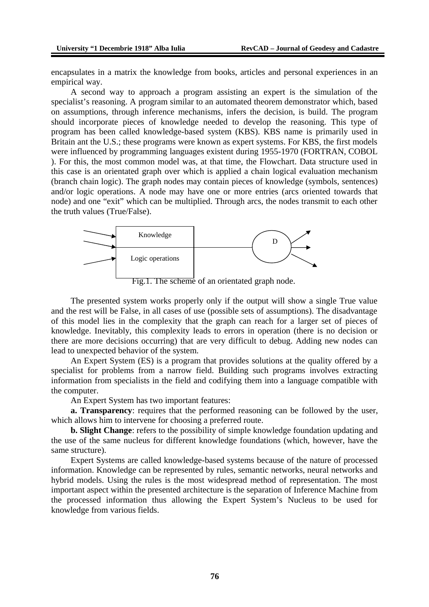encapsulates in a matrix the knowledge from books, articles and personal experiences in an empirical way.

A second way to approach a program assisting an expert is the simulation of the specialist's reasoning. A program similar to an automated theorem demonstrator which, based on assumptions, through inference mechanisms, infers the decision, is build. The program should incorporate pieces of knowledge needed to develop the reasoning. This type of program has been called knowledge-based system (KBS). KBS name is primarily used in Britain ant the U.S.; these programs were known as expert systems. For KBS, the first models were influenced by programming languages existent during 1955-1970 (FORTRAN, COBOL ). For this, the most common model was, at that time, the Flowchart. Data structure used in this case is an orientated graph over which is applied a chain logical evaluation mechanism (branch chain logic). The graph nodes may contain pieces of knowledge (symbols, sentences) and/or logic operations. A node may have one or more entries (arcs oriented towards that node) and one "exit" which can be multiplied. Through arcs, the nodes transmit to each other the truth values (True/False).



Fig.1. The scheme of an orientated graph node.

The presented system works properly only if the output will show a single True value and the rest will be False, in all cases of use (possible sets of assumptions). The disadvantage of this model lies in the complexity that the graph can reach for a larger set of pieces of knowledge. Inevitably, this complexity leads to errors in operation (there is no decision or there are more decisions occurring) that are very difficult to debug. Adding new nodes can lead to unexpected behavior of the system.

An Expert System (ES) is a program that provides solutions at the quality offered by a specialist for problems from a narrow field. Building such programs involves extracting information from specialists in the field and codifying them into a language compatible with the computer.

An Expert System has two important features:

**a. Transparency**: requires that the performed reasoning can be followed by the user, which allows him to intervene for choosing a preferred route.

**b. Slight Change**: refers to the possibility of simple knowledge foundation updating and the use of the same nucleus for different knowledge foundations (which, however, have the same structure).

Expert Systems are called knowledge-based systems because of the nature of processed information. Knowledge can be represented by rules, semantic networks, neural networks and hybrid models. Using the rules is the most widespread method of representation. The most important aspect within the presented architecture is the separation of Inference Machine from the processed information thus allowing the Expert System's Nucleus to be used for knowledge from various fields.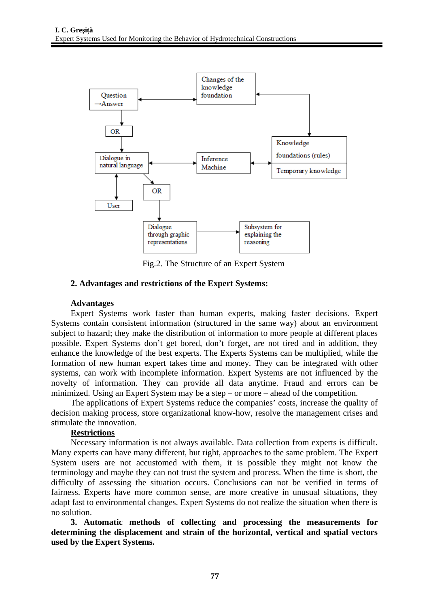

Fig.2. The Structure of an Expert System

## **2. Advantages and restrictions of the Expert Systems:**

#### **Advantages**

Expert Systems work faster than human experts, making faster decisions. Expert Systems contain consistent information (structured in the same way) about an environment subject to hazard; they make the distribution of information to more people at different places possible. Expert Systems don't get bored, don't forget, are not tired and in addition, they enhance the knowledge of the best experts. The Experts Systems can be multiplied, while the formation of new human expert takes time and money. They can be integrated with other systems, can work with incomplete information. Expert Systems are not influenced by the novelty of information. They can provide all data anytime. Fraud and errors can be minimized. Using an Expert System may be a step – or more – ahead of the competition.

The applications of Expert Systems reduce the companies' costs, increase the quality of decision making process, store organizational know-how, resolve the management crises and stimulate the innovation.

### **Restrictions**

Necessary information is not always available. Data collection from experts is difficult. Many experts can have many different, but right, approaches to the same problem. The Expert System users are not accustomed with them, it is possible they might not know the terminology and maybe they can not trust the system and process. When the time is short, the difficulty of assessing the situation occurs. Conclusions can not be verified in terms of fairness. Experts have more common sense, are more creative in unusual situations, they adapt fast to environmental changes. Expert Systems do not realize the situation when there is no solution.

**3. Automatic methods of collecting and processing the measurements for determining the displacement and strain of the horizontal, vertical and spatial vectors used by the Expert Systems.**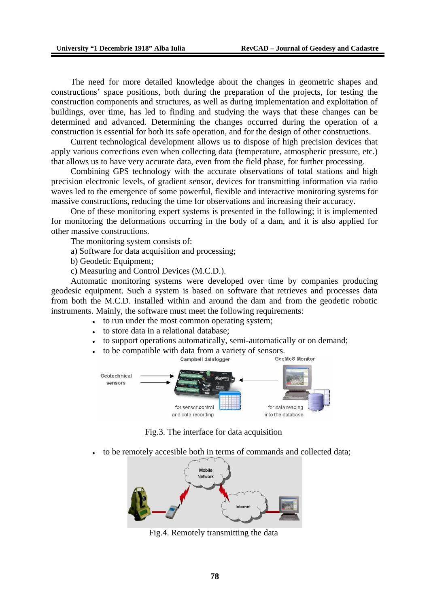The need for more detailed knowledge about the changes in geometric shapes and constructions' space positions, both during the preparation of the projects, for testing the construction components and structures, as well as during implementation and exploitation of buildings, over time, has led to finding and studying the ways that these changes can be determined and advanced. Determining the changes occurred during the operation of a construction is essential for both its safe operation, and for the design of other constructions.

Current technological development allows us to dispose of high precision devices that apply various corrections even when collecting data (temperature, atmospheric pressure, etc.) that allows us to have very accurate data, even from the field phase, for further processing.

Combining GPS technology with the accurate observations of total stations and high precision electronic levels, of gradient sensor, devices for transmitting information via radio waves led to the emergence of some powerful, flexible and interactive monitoring systems for massive constructions, reducing the time for observations and increasing their accuracy.

One of these monitoring expert systems is presented in the following; it is implemented for monitoring the deformations occurring in the body of a dam, and it is also applied for other massive constructions.

The monitoring system consists of:

a) Software for data acquisition and processing;

b) Geodetic Equipment;

c) Measuring and Control Devices (M.C.D.).

Automatic monitoring systems were developed over time by companies producing geodesic equipment. Such a system is based on software that retrieves and processes data from both the M.C.D. installed within and around the dam and from the geodetic robotic instruments. Mainly, the software must meet the following requirements:

- to run under the most common operating system;
- to store data in a relational database;
- to support operations automatically, semi-automatically or on demand;



Fig.3. The interface for data acquisition

to be remotely accesible both in terms of commands and collected data;



Fig.4. Remotely transmitting the data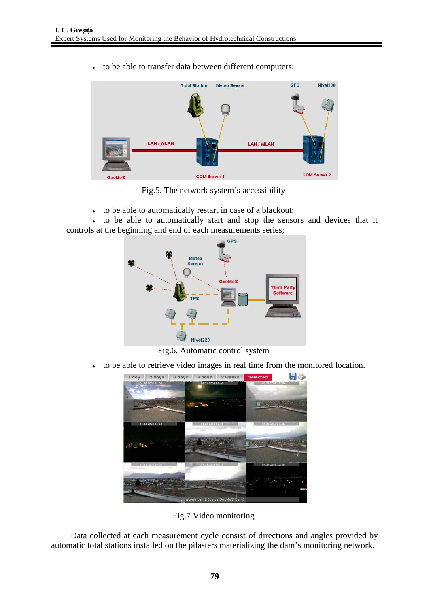- **Total Station Meteo Sensor GPS** Nivel200 **LAN / WLAN LAN/WLAN COM Server 2 COM Server 1**
- to be able to transfer data between different computers;

Fig.5. The network system's accessibility

to be able to automatically restart in case of a blackout;

 to be able to automatically start and stop the sensors and devices that it controls at the beginning and end of each measurements series;



Fig.6. Automatic control system

to be able to retrieve video images in real time from the monitored location.



Fig.7 Video monitoring

Data collected at each measurement cycle consist of directions and angles provided by automatic total stations installed on the pilasters materializing the dam's monitoring network.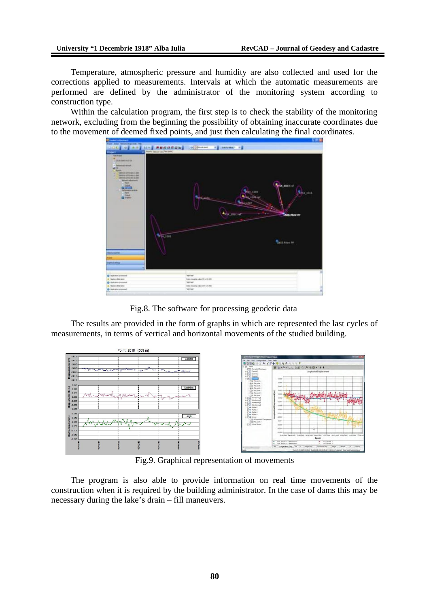Temperature, atmospheric pressure and humidity are also collected and used for the corrections applied to measurements. Intervals at which the automatic measurements are performed are defined by the administrator of the monitoring system according to construction type.

Within the calculation program, the first step is to check the stability of the monitoring network, excluding from the beginning the possibility of obtaining inaccurate coordinates due to the movement of deemed fixed points, and just then calculating the final coordinates.



Fig.8. The software for processing geodetic data

The results are provided in the form of graphs in which are represented the last cycles of measurements, in terms of vertical and horizontal movements of the studied building.



Fig.9. Graphical representation of movements

The program is also able to provide information on real time movements of the construction when it is required by the building administrator. In the case of dams this may be necessary during the lake's drain – fill maneuvers.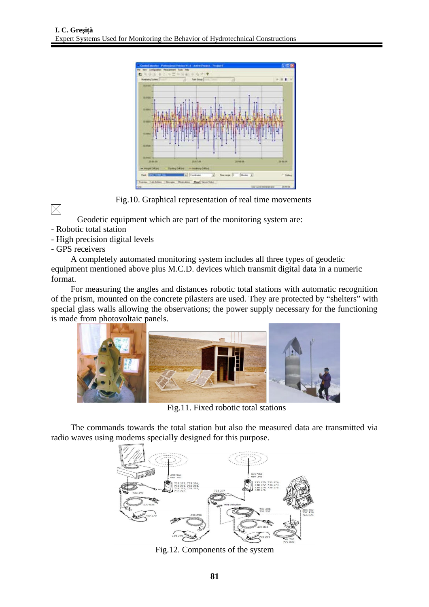

Fig.10. Graphical representation of real time movements

 $\boxtimes$ 

Geodetic equipment which are part of the monitoring system are:

- Robotic total station
- High precision digital levels
- GPS receivers

A completely automated monitoring system includes all three types of geodetic equipment mentioned above plus M.C.D. devices which transmit digital data in a numeric format.

For measuring the angles and distances robotic total stations with automatic recognition of the prism, mounted on the concrete pilasters are used. They are protected by "shelters" with special glass walls allowing the observations; the power supply necessary for the functioning is made from photovoltaic panels.



Fig.11. Fixed robotic total stations

The commands towards the total station but also the measured data are transmitted via radio waves using modems specially designed for this purpose.



Fig.12. Components of the system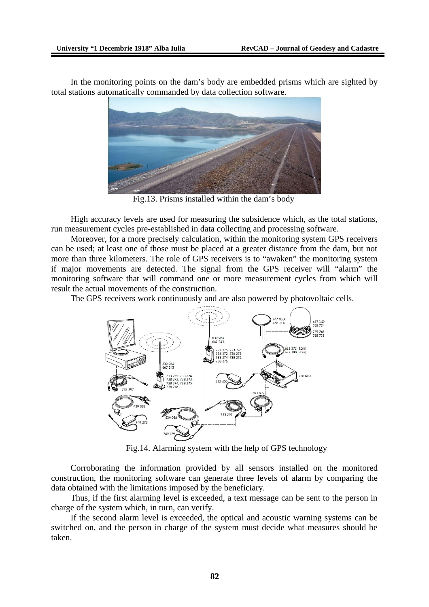In the monitoring points on the dam's body are embedded prisms which are sighted by total stations automatically commanded by data collection software.



Fig.13. Prisms installed within the dam's body

High accuracy levels are used for measuring the subsidence which, as the total stations, run measurement cycles pre-established in data collecting and processing software.

Moreover, for a more precisely calculation, within the monitoring system GPS receivers can be used; at least one of those must be placed at a greater distance from the dam, but not more than three kilometers. The role of GPS receivers is to "awaken" the monitoring system if major movements are detected. The signal from the GPS receiver will "alarm" the monitoring software that will command one or more measurement cycles from which will result the actual movements of the construction.

The GPS receivers work continuously and are also powered by photovoltaic cells.



Fig.14. Alarming system with the help of GPS technology

Corroborating the information provided by all sensors installed on the monitored construction, the monitoring software can generate three levels of alarm by comparing the data obtained with the limitations imposed by the beneficiary.

Thus, if the first alarming level is exceeded, a text message can be sent to the person in charge of the system which, in turn, can verify.

If the second alarm level is exceeded, the optical and acoustic warning systems can be switched on, and the person in charge of the system must decide what measures should be taken.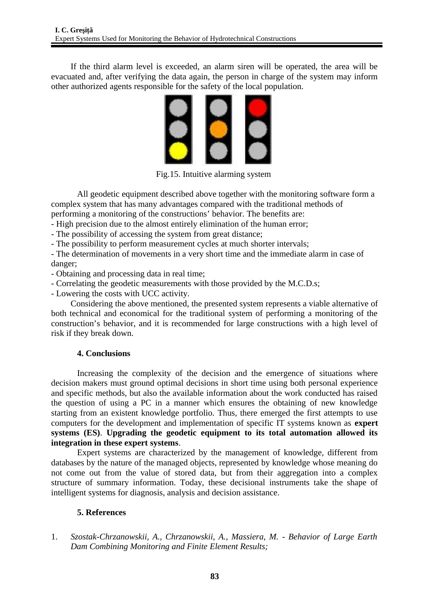If the third alarm level is exceeded, an alarm siren will be operated, the area will be evacuated and, after verifying the data again, the person in charge of the system may inform other authorized agents responsible for the safety of the local population.



Fig.15. Intuitive alarming system

All geodetic equipment described above together with the monitoring software form a complex system that has many advantages compared with the traditional methods of performing a monitoring of the constructions' behavior. The benefits are:

- High precision due to the almost entirely elimination of the human error;

- The possibility of accessing the system from great distance;

- The possibility to perform measurement cycles at much shorter intervals;

- The determination of movements in a very short time and the immediate alarm in case of danger;

- Obtaining and processing data in real time;

- Correlating the geodetic measurements with those provided by the M.C.D.s;
- Lowering the costs with UCC activity.

Considering the above mentioned, the presented system represents a viable alternative of both technical and economical for the traditional system of performing a monitoring of the construction's behavior, and it is recommended for large constructions with a high level of risk if they break down.

## **4. Conclusions**

Increasing the complexity of the decision and the emergence of situations where decision makers must ground optimal decisions in short time using both personal experience and specific methods, but also the available information about the work conducted has raised the question of using a PC in a manner which ensures the obtaining of new knowledge starting from an existent knowledge portfolio. Thus, there emerged the first attempts to use computers for the development and implementation of specific IT systems known as **expert systems (ES)**. **Upgrading the geodetic equipment to its total automation allowed its integration in these expert systems**.

Expert systems are characterized by the management of knowledge, different from databases by the nature of the managed objects, represented by knowledge whose meaning do not come out from the value of stored data, but from their aggregation into a complex structure of summary information. Today, these decisional instruments take the shape of intelligent systems for diagnosis, analysis and decision assistance.

## **5. References**

1. *Szostak-Chrzanowskii, A., Chrzanowskii, A., Massiera, M. - Behavior of Large Earth Dam Combining Monitoring and Finite Element Results;*